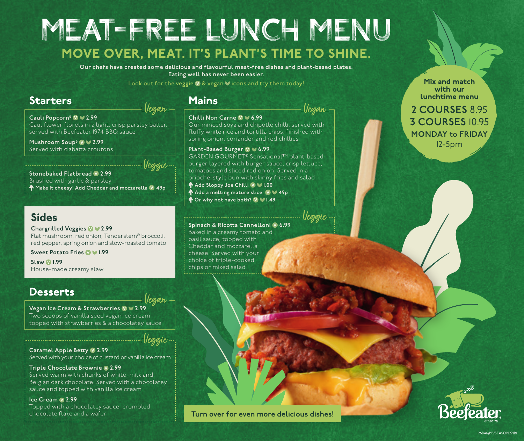## MEAT-FREE LUNCH MENU MOVE OVER, MEAT. IT'S PLANT'S TIME TO SHINE.

**Our chefs have created some delicious and flavourful meat-free dishes and plant-based plates. Eating well has never been easier.** 

Look out for the veggie  $\vee$  & vegan  $\vee$  icons and try them today!

## Starters Mains

Vegan

Cauli Popcorn<sup>§</sup> **V** ≥ 2.99 Cauliflower florets in a light, crisp parsley batter, served with Beefeater 1974 BBQ sauce

**Mushroom Soup§ 2.99** Served with ciabatta croutons

**Stonebaked Flatbread V 2.99** Brushed with garlic & parsley **Make it cheesy! Add Cheddar and mozzarella 49p** Veggie

## Sides

**Chargrilled Veggies 2.99** Flat mushroom, red onion, Tenderstem® broccoli, red pepper, spring onion and slow-roasted tomato

**Sweet Potato Fries 1.99**

**Slaw 1.99** House-made creamy slaw

## **Desserts**

**Vegan Ice Cream & Strawberries**  $\sqrt{2.99}$ Two scoops of vanilla seed vegan ice cream topped with strawberries & a chocolatey sauce Vegan

Veggie

**Caramel Apple Betty 2.99** Served with your choice of custard or vanilla ice cream

#### **Triple Chocolate Brownie**  $\vee$  **2.99** Served warm with chunks of white, milk and Belgian dark chocolate. Served with a chocolatey sauce and topped with vanilla ice cream

Ice Cream  $\vee$  2.99 Topped with a chocolatey sauce, crumbled chocolate flake and a wafer

#### **Chilli Non Carne 6.99**

Vegan

Our minced soya and chipotle chilli, served with fluffy white rice and tortilla chips, finished with spring onion, coriander and red chillies

#### **Plant-Based Burger 10**  $\blacktriangledown$  **6.99** GARDEN GOURMET® Sensational™ plant-based

burger layered with burger sauce, crisp lettuce, tomatoes and sliced red onion. Served in a brioche-style bun with skinny fries and salad **Add Sloppy Joe Chilli 1.00 ↑ Add a melting mature slice (VIV 49p Or why not have both? 1.49**

Veggie

Mix and match with our lunchtime menu

**2 COURSES** 8.95 **3 COURSES** 10.95 **MONDAY** to **FRIDAY** 12-5pm



#### **Spinach & Ricotta Cannelloni 6.99**

Baked in a creamy tomato and basil sauce, topped with Cheddar and mozzarella cheese. Served with your choice of triple-cooked chips or mixed salad





26846/BB/SEASON22/B1